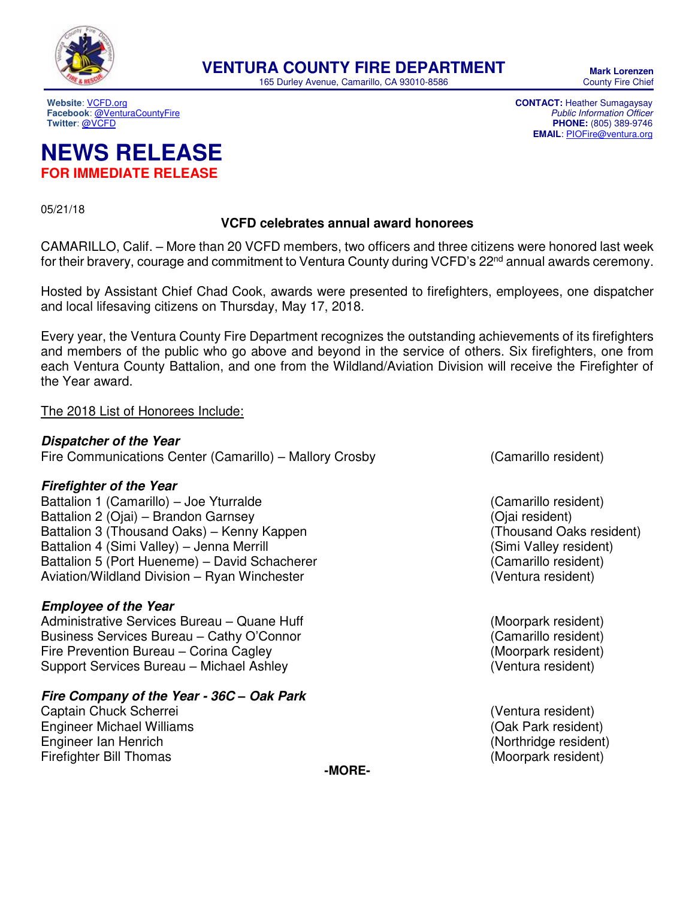

165 Durley Avenue, Camarillo, CA 93010-8586

**Mark Lorenzen**  County Fire Chief

**PHONE:** (805) 389-9746 **EMAIL**: [PIOFire@ventura.org](mailto:PIOFire@ventura.org)

**Website**[: VCFD.org](http://vcfd.org/) **CONTACT:** Heather Sumagaysay **Facebook[: @VenturaCountyFire](https://www.facebook.com/venturacountyfire)**<br>Twitter: @VCFD

## **NEWS RELEASE FOR IMMEDIATE RELEASE**

05/21/18

#### **VCFD celebrates annual award honorees**

CAMARILLO, Calif. – More than 20 VCFD members, two officers and three citizens were honored last week for their bravery, courage and commitment to Ventura County during VCFD's 22<sup>nd</sup> annual awards ceremony.

Hosted by Assistant Chief Chad Cook, awards were presented to firefighters, employees, one dispatcher and local lifesaving citizens on Thursday, May 17, 2018.

Every year, the Ventura County Fire Department recognizes the outstanding achievements of its firefighters and members of the public who go above and beyond in the service of others. Six firefighters, one from each Ventura County Battalion, and one from the Wildland/Aviation Division will receive the Firefighter of the Year award.

#### The 2018 List of Honorees Include:

### **Dispatcher of the Year**

Fire Communications Center (Camarillo) – Mallory Crosby (Camarillo resident)

#### **Firefighter of the Year**

Battalion 1 (Camarillo) – Joe Yturralde (Camarillo resident) (Camarillo resident) Battalion 2 (Ojai) – Brandon Garnsey<br>Battalion 3 (Thousand Oaks) – Kenny Kappen<br>Gattalion 3 (Thousand Oaks) – Kenny Kappen Battalion 3 (Thousand Oaks) – Kenny Kappen Battalion 4 (Simi Valley) – Jenna Merrill (Simi Valley resident) Battalion 5 (Port Hueneme) – David Schacherer (Camarillo resident) Aviation/Wildland Division – Ryan Winchester (Ventura resident)

#### **Employee of the Year**

Administrative Services Bureau – Quane Huff (Moorpark resident) Business Services Bureau – Cathy O'Connor (Camarillo resident) Fire Prevention Bureau – Corina Cagley (Moorpark resident) Support Services Bureau – Michael Ashley (Ventura resident)

#### **Fire Company of the Year - 36C** *–* **Oak Park**

Captain Chuck Scherrei (Ventura resident) Engineer Michael Williams (Oak Park resident) Engineer Ian Henrich (Northridge resident) Firefighter Bill Thomas (Moorpark resident)

**-MORE-**